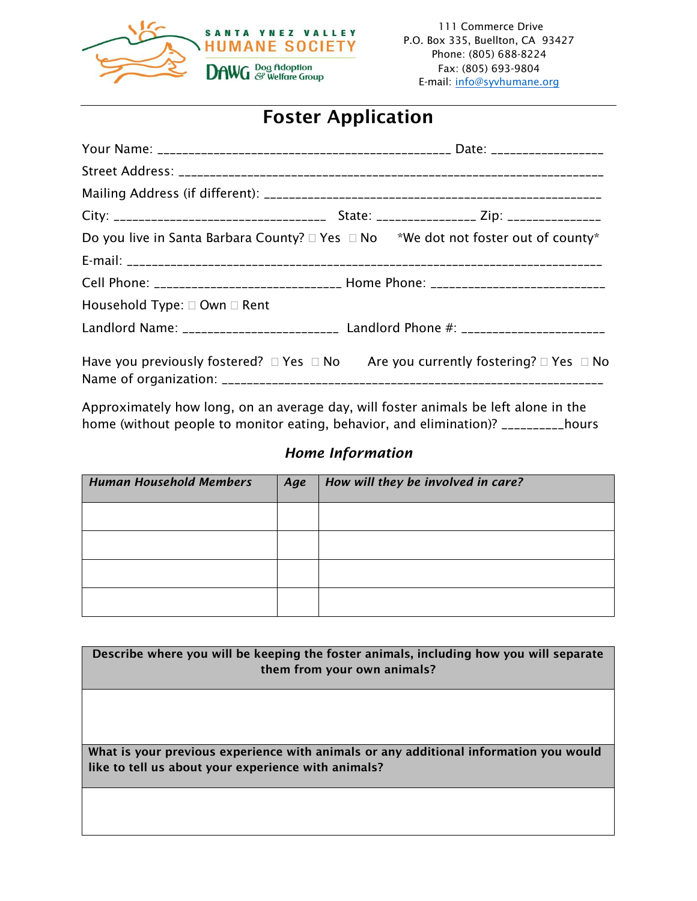

# Foster Application

|                                        | Do you live in Santa Barbara County? $\Box$ Yes $\Box$ No $*$ We dot not foster out of county*                   |
|----------------------------------------|------------------------------------------------------------------------------------------------------------------|
|                                        |                                                                                                                  |
|                                        | Cell Phone: _______________________________ Home Phone: ________________________                                 |
| Household Type: $\Box$ Own $\Box$ Rent |                                                                                                                  |
|                                        | Landlord Name: ___________________________ Landlord Phone #: ____________________                                |
|                                        | Have you previously fostered? $\square$ Yes $\square$ No Are you currently fostering? $\square$ Yes $\square$ No |

Approximately how long, on an average day, will foster animals be left alone in the home (without people to monitor eating, behavior, and elimination)? \_\_\_\_\_\_\_\_\_\_hours

## *Home Information*

| <b>Human Household Members</b> | Age | How will they be involved in care? |
|--------------------------------|-----|------------------------------------|
|                                |     |                                    |
|                                |     |                                    |
|                                |     |                                    |
|                                |     |                                    |

| Describe where you will be keeping the foster animals, including how you will separate |
|----------------------------------------------------------------------------------------|
|                                                                                        |
| them from your own animals?                                                            |
|                                                                                        |
|                                                                                        |
|                                                                                        |
|                                                                                        |
|                                                                                        |
|                                                                                        |
|                                                                                        |
| What is your previous experience with animals or any additional information you would  |
|                                                                                        |
| like to tell us about your experience with animals?                                    |
|                                                                                        |
|                                                                                        |
|                                                                                        |
|                                                                                        |
|                                                                                        |
|                                                                                        |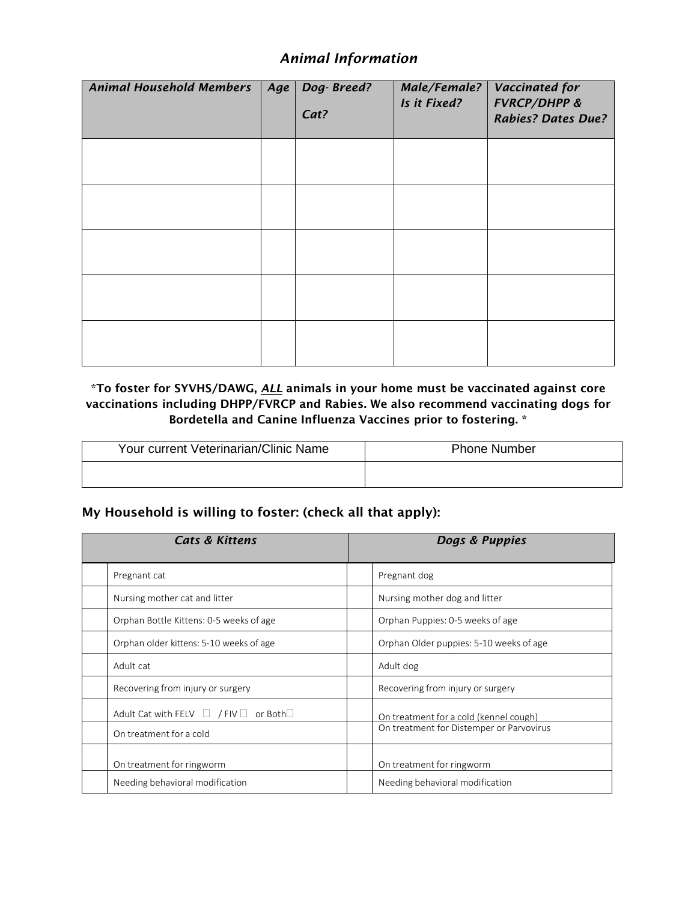## *Animal Information*

| <b>Animal Household Members</b> | Age | Dog-Breed?<br>Cat? | Male/Female?<br>Is it Fixed? | <b>Vaccinated for</b><br><b>FVRCP/DHPP &amp;</b><br><b>Rabies? Dates Due?</b> |
|---------------------------------|-----|--------------------|------------------------------|-------------------------------------------------------------------------------|
|                                 |     |                    |                              |                                                                               |
|                                 |     |                    |                              |                                                                               |
|                                 |     |                    |                              |                                                                               |
|                                 |     |                    |                              |                                                                               |
|                                 |     |                    |                              |                                                                               |

#### \*To foster for SYVHS/DAWG, *ALL* animals in your home must be vaccinated against core vaccinations including DHPP/FVRCP and Rabies. We also recommend vaccinating dogs for Bordetella and Canine Influenza Vaccines prior to fostering. \*

| Your current Veterinarian/Clinic Name | <b>Phone Number</b> |  |  |
|---------------------------------------|---------------------|--|--|
|                                       |                     |  |  |

#### My Household is willing to foster: (check all that apply):

| <b>Cats &amp; Kittens</b> |                                                        | Dogs & Puppies |                                          |
|---------------------------|--------------------------------------------------------|----------------|------------------------------------------|
|                           | Pregnant cat                                           |                | Pregnant dog                             |
|                           | Nursing mother cat and litter                          |                | Nursing mother dog and litter            |
|                           | Orphan Bottle Kittens: 0-5 weeks of age                |                | Orphan Puppies: 0-5 weeks of age         |
|                           | Orphan older kittens: 5-10 weeks of age                |                | Orphan Older puppies: 5-10 weeks of age  |
|                           | Adult cat                                              |                | Adult dog                                |
|                           | Recovering from injury or surgery                      |                | Recovering from injury or surgery        |
|                           | Adult Cat with FELV $\Box$ / FIV $\Box$ or Both $\Box$ |                | On treatment for a cold (kennel cough)   |
|                           | On treatment for a cold                                |                | On treatment for Distemper or Parvovirus |
|                           | On treatment for ringworm                              |                | On treatment for ringworm                |
|                           | Needing behavioral modification                        |                | Needing behavioral modification          |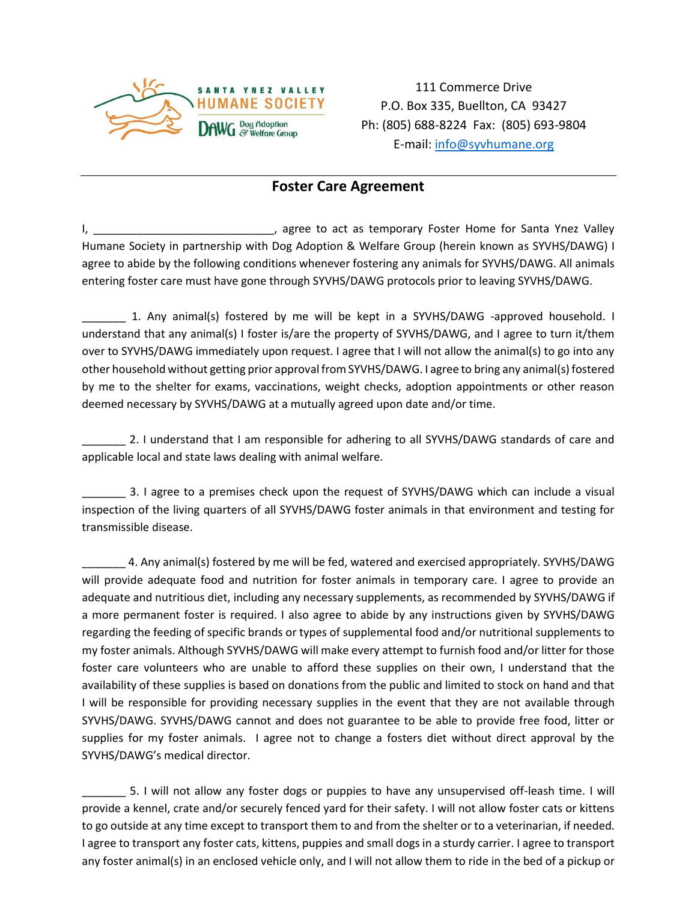

111 Commerce Drive P.O. Box 335, Buellton, CA 93427 Ph: (805) 688-8224 Fax: (805) 693-9804 E-mail: [info@syvhumane.org](mailto:info@syvhumane.org)

### **Foster Care Agreement**

I, \_\_\_\_\_\_\_\_\_\_\_\_\_\_\_\_\_\_\_\_\_\_\_\_\_\_\_\_\_\_\_\_\_, agree to act as temporary Foster Home for Santa Ynez Valley Humane Society in partnership with Dog Adoption & Welfare Group (herein known as SYVHS/DAWG) I agree to abide by the following conditions whenever fostering any animals for SYVHS/DAWG. All animals entering foster care must have gone through SYVHS/DAWG protocols prior to leaving SYVHS/DAWG.

\_\_\_\_\_\_\_ 1. Any animal(s) fostered by me will be kept in a SYVHS/DAWG -approved household. I understand that any animal(s) I foster is/are the property of SYVHS/DAWG, and I agree to turn it/them over to SYVHS/DAWG immediately upon request. I agree that I will not allow the animal(s) to go into any other household without getting prior approval from SYVHS/DAWG. I agree to bring any animal(s) fostered by me to the shelter for exams, vaccinations, weight checks, adoption appointments or other reason deemed necessary by SYVHS/DAWG at a mutually agreed upon date and/or time.

2. I understand that I am responsible for adhering to all SYVHS/DAWG standards of care and applicable local and state laws dealing with animal welfare.

3. I agree to a premises check upon the request of SYVHS/DAWG which can include a visual inspection of the living quarters of all SYVHS/DAWG foster animals in that environment and testing for transmissible disease.

4. Any animal(s) fostered by me will be fed, watered and exercised appropriately. SYVHS/DAWG will provide adequate food and nutrition for foster animals in temporary care. I agree to provide an adequate and nutritious diet, including any necessary supplements, as recommended by SYVHS/DAWG if a more permanent foster is required. I also agree to abide by any instructions given by SYVHS/DAWG regarding the feeding of specific brands or types of supplemental food and/or nutritional supplements to my foster animals. Although SYVHS/DAWG will make every attempt to furnish food and/or litter for those foster care volunteers who are unable to afford these supplies on their own, I understand that the availability of these supplies is based on donations from the public and limited to stock on hand and that I will be responsible for providing necessary supplies in the event that they are not available through SYVHS/DAWG. SYVHS/DAWG cannot and does not guarantee to be able to provide free food, litter or supplies for my foster animals. I agree not to change a fosters diet without direct approval by the SYVHS/DAWG's medical director.

\_\_\_\_\_\_\_ 5. I will not allow any foster dogs or puppies to have any unsupervised off-leash time. I will provide a kennel, crate and/or securely fenced yard for their safety. I will not allow foster cats or kittens to go outside at any time except to transport them to and from the shelter or to a veterinarian, if needed. I agree to transport any foster cats, kittens, puppies and small dogs in a sturdy carrier. I agree to transport any foster animal(s) in an enclosed vehicle only, and I will not allow them to ride in the bed of a pickup or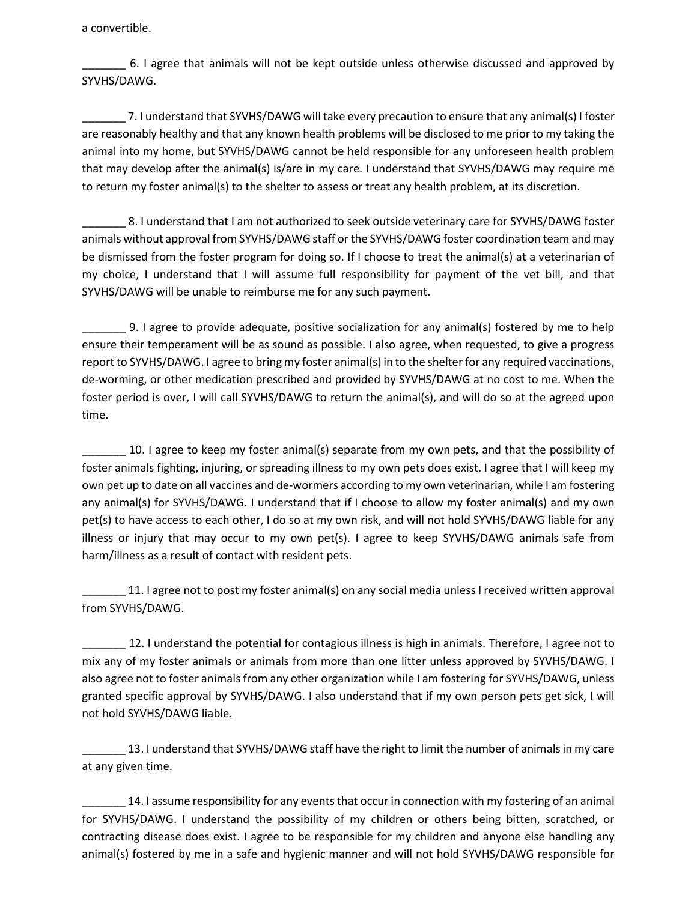a convertible.

\_\_\_\_\_\_\_ 6. I agree that animals will not be kept outside unless otherwise discussed and approved by SYVHS/DAWG.

7. I understand that SYVHS/DAWG will take every precaution to ensure that any animal(s) I foster are reasonably healthy and that any known health problems will be disclosed to me prior to my taking the animal into my home, but SYVHS/DAWG cannot be held responsible for any unforeseen health problem that may develop after the animal(s) is/are in my care. I understand that SYVHS/DAWG may require me to return my foster animal(s) to the shelter to assess or treat any health problem, at its discretion.

8. I understand that I am not authorized to seek outside veterinary care for SYVHS/DAWG foster animals without approval from SYVHS/DAWG staff or the SYVHS/DAWG foster coordination team and may be dismissed from the foster program for doing so. If I choose to treat the animal(s) at a veterinarian of my choice, I understand that I will assume full responsibility for payment of the vet bill, and that SYVHS/DAWG will be unable to reimburse me for any such payment.

\_\_\_\_\_\_\_ 9. I agree to provide adequate, positive socialization for any animal(s) fostered by me to help ensure their temperament will be as sound as possible. I also agree, when requested, to give a progress report to SYVHS/DAWG. I agree to bring my foster animal(s) in to the shelter for any required vaccinations, de-worming, or other medication prescribed and provided by SYVHS/DAWG at no cost to me. When the foster period is over, I will call SYVHS/DAWG to return the animal(s), and will do so at the agreed upon time.

10. I agree to keep my foster animal(s) separate from my own pets, and that the possibility of foster animals fighting, injuring, or spreading illness to my own pets does exist. I agree that I will keep my own pet up to date on all vaccines and de-wormers according to my own veterinarian, while I am fostering any animal(s) for SYVHS/DAWG. I understand that if I choose to allow my foster animal(s) and my own pet(s) to have access to each other, I do so at my own risk, and will not hold SYVHS/DAWG liable for any illness or injury that may occur to my own pet(s). I agree to keep SYVHS/DAWG animals safe from harm/illness as a result of contact with resident pets.

\_\_\_\_\_\_\_ 11. I agree not to post my foster animal(s) on any social media unless I received written approval from SYVHS/DAWG.

12. I understand the potential for contagious illness is high in animals. Therefore, I agree not to mix any of my foster animals or animals from more than one litter unless approved by SYVHS/DAWG. I also agree not to foster animals from any other organization while I am fostering for SYVHS/DAWG, unless granted specific approval by SYVHS/DAWG. I also understand that if my own person pets get sick, I will not hold SYVHS/DAWG liable.

13. I understand that SYVHS/DAWG staff have the right to limit the number of animals in my care at any given time.

14. I assume responsibility for any events that occur in connection with my fostering of an animal for SYVHS/DAWG. I understand the possibility of my children or others being bitten, scratched, or contracting disease does exist. I agree to be responsible for my children and anyone else handling any animal(s) fostered by me in a safe and hygienic manner and will not hold SYVHS/DAWG responsible for